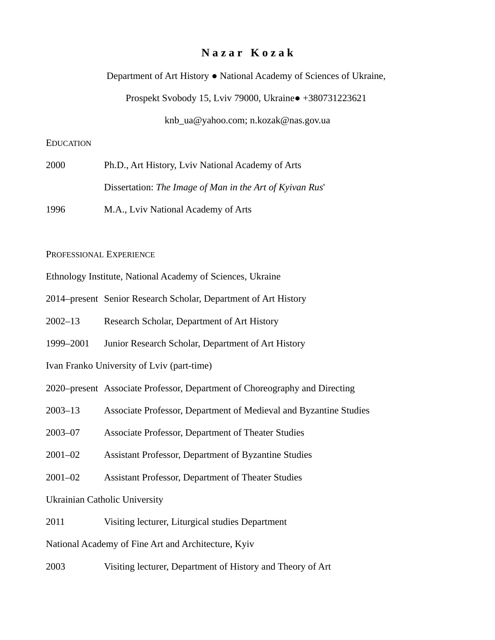# **N a z a r K o z a k**

Department of Art History ● National Academy of Sciences of Ukraine,

Prospekt Svobody 15, Lviv 79000, Ukraine● +380731223621

knb\_ua@yahoo.com; n.kozak@nas.gov.ua

# EDUCATION

| 2000 | Ph.D., Art History, Lviv National Academy of Arts        |
|------|----------------------------------------------------------|
|      | Dissertation: The Image of Man in the Art of Kyivan Rus' |
| 1996 | M.A., Lviv National Academy of Arts                      |

#### PROFESSIONAL EXPERIENCE

Ethnology Institute, National Academy of Sciences, Ukraine

- 2014–present Senior Research Scholar, Department of Art History
- 2002–13 Research Scholar, Department of Art History
- 1999–2001 Junior Research Scholar, Department of Art History
- Ivan Franko University of Lviv (part-time)
- 2020–present Associate Professor, Department of Choreography and Directing
- 2003–13 Associate Professor, Department of Medieval and Byzantine Studies
- 2003–07 Associate Professor, Department of Theater Studies
- 2001–02 Assistant Professor, Department of Byzantine Studies
- 2001–02 Assistant Professor, Department of Theater Studies
- Ukrainian Catholic University
- 2011 Visiting lecturer, Liturgical studies Department

National Academy of Fine Art and Architecture, Kyiv

2003 Visiting lecturer, Department of History and Theory of Art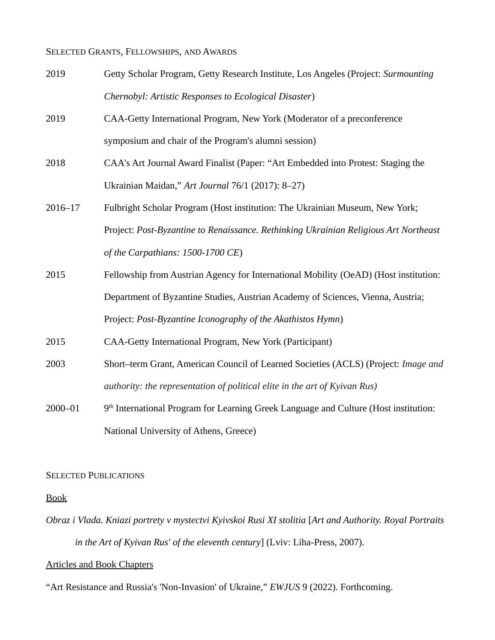#### SELECTED GRANTS, FELLOWSHIPS, AND AWARDS

- 2019 Getty Scholar Program, Getty Research Institute, Los Angeles (Project: *Surmounting Chernobyl: Artistic Responses to Ecological Disaster*)
- 2019 CAA-Getty International Program, New York (Moderator of a preconference symposium and chair of the Program's alumni session)
- 2018 CAA's Art Journal Award Finalist (Paper: "Art Embedded into Protest: Staging the Ukrainian Maidan," *Art Journal* 76/1 (2017): 8–27)
- 2016–17 Fulbright Scholar Program (Host institution: The Ukrainian Museum, New York; Project: *Post-Byzantine to Renaissance. Rethinking Ukrainian Religious Art Northeast of the Carpathians: 1500-1700 CE*)
- 2015 Fellowship from Austrian Agency for International Mobility (OeAD) (Host institution: Department of Byzantine Studies, Austrian Academy of Sciences, Vienna, Austria; Project: *Post-Byzantine Iconography of the Akathistos Hymn*)
- 2015 CAA-Getty International Program, New York (Participant)
- 2003 Short–term Grant, American Council of Learned Societies (ACLS) (Project: *Image and authority: the representation of political elite in the art of Kyivan Rus)*
- $2000 01$  $9<sup>th</sup>$  International Program for Learning Greek Language and Culture (Host institution: National University of Athens, Greece)

#### SELECTED PUBLICATIONS

# Book

*Obraz i Vlada. Kniazi portrety v mystectvi Kyivskoi Rusi XI stolitia* [*Art and Authority. Royal Portraits in the Art of Kyivan Rus' of the eleventh century*] (Lviv: Liha-Press, 2007).

## Articles and Book Chapters

"Art Resistance and Russia's 'Non-Invasion' of Ukraine," *EWJUS* 9 (2022). Forthcoming.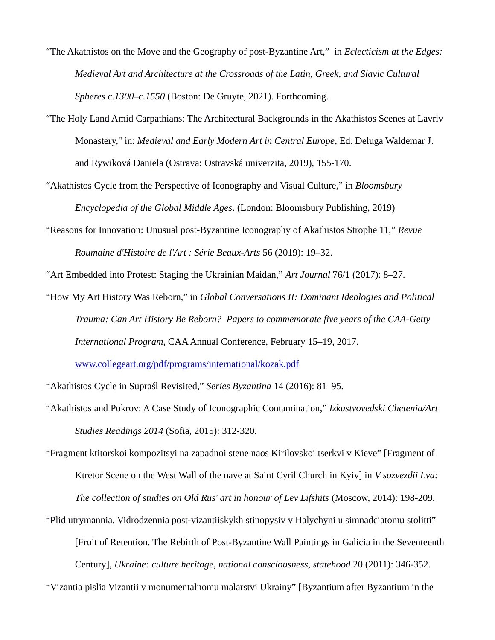- "The Akathistos on the Move and the Geography of post-Byzantine Art," in *Eclecticism at the Edges: Medieval Art and Architecture at the Crossroads of the Latin, Greek, and Slavic Cultural Spheres c.1300–c.1550* (Boston: De Gruyte, 2021). Forthcoming.
- "The Holy Land Amid Carpathians: The Architectural Backgrounds in the Akathistos Scenes at Lavriv Monastery," in: *Medieval and Early Modern Art in Central Europe*, Ed. Deluga Waldemar J. and Rywiková Daniela (Ostrava: Ostravská univerzita, 2019), 155-170.
- "Akathistos Cycle from the Perspective of Iconography and Visual Culture," in *Bloomsbury Encyclopedia of the Global Middle Ages*. (London: Bloomsbury Publishing, 2019)
- "Reasons for Innovation: Unusual post-Byzantine Iconography of Akathistos Strophe 11," *Revue Roumaine d'Histoire de l'Art : Série Beaux-Arts* 56 (2019): 19–32.

"Art Embedded into Protest: Staging the Ukrainian Maidan," *Art Journal* 76/1 (2017): 8–27.

"How My Art History Was Reborn," in *Global Conversations II: Dominant Ideologies and Political Trauma: Can Art History Be Reborn? Papers to commemorate five years of the CAA-Getty International Program,* CAA Annual Conference, February 15–19, 2017.

[www.collegeart.org/pdf/programs/international/kozak.pdf](http://www.collegeart.org/pdf/programs/international/kozak.pdf)

"Akathistos Cycle in Supraśl Revisited," *Series Byzantina* 14 (2016): 81–95.

- "Akathistos and Pokrov: A Case Study of Iconographic Contamination," *Izkustvovedski Chetenia/Art Studies Readings 2014* (Sofia, 2015): 312-320.
- "Fragment ktitorskoi kompozitsyi na zapadnoi stene naos Kirilovskoi tserkvi v Kieve" [Fragment of Ktretor Scene on the West Wall of the nave at Saint Cyril Church in Kyiv] in *V sozvezdii Lva: The collection of studies on Old Rus' art in honour of Lev Lifshits* (Moscow, 2014): 198-209.
- "Plid utrymannia. Vidrodzennia post-vizantiiskykh stinopysiv v Halychyni u simnadciatomu stolitti" [Fruit of Retention. The Rebirth of Post-Byzantine Wall Paintings in Galicia in the Seventeenth Century], *Ukraine: culture heritage, national consciousness, statehood* 20 (2011): 346-352.

"Vizantia pislia Vizantii v monumentalnomu malarstvi Ukrainy" [Byzantium after Byzantium in the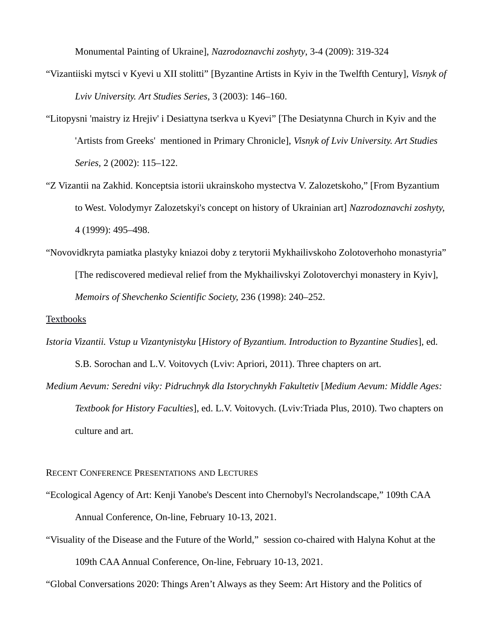Monumental Painting of Ukraine], *Nazrodoznavchi zoshyty*, 3-4 (2009): 319-324

- "Vizantiiski mytsci v Kyevi u XII stolitti" [Byzantine Artists in Kyiv in the Twelfth Century], *Visnyk of Lviv University. Art Studies Series,* 3 (2003): 146–160.
- "Litopysni 'maistry iz Hrejiv' i Desiattyna tserkva u Kyevi" [The Desiatynna Church in Kyiv and the 'Artists from Greeks' mentioned in Primary Chronicle], *Visnyk of Lviv University. Art Studies Series,* 2 (2002): 115–122.
- "Z Vizantii na Zakhid. Konceptsia istorii ukrainskoho mystectva V. Zalozetskoho," [From Byzantium to West. Volodymyr Zalozetskyi's concept on history of Ukrainian art] *Nazrodoznavchi zoshyty,* 4 (1999): 495–498.
- "Novovidkryta pamiatka plastyky kniazoi doby z terytorii Mykhailivskoho Zolotoverhoho monastyria" [The rediscovered medieval relief from the Mykhailivskyi Zolotoverchyi monastery in Kyiv], *Memoirs of Shevchenko Scientific Society,* 236 (1998): 240–252.

### Textbooks

- *Istoria Vizantii. Vstup u Vizantynistyku* [*History of Byzantium. Introduction to Byzantine Studies*], ed. S.B. Sorochan and L.V. Voitovych (Lviv: Apriori, 2011). Three chapters on art.
- *Medium Aevum: Seredni viky: Pidruchnyk dla Istorychnykh Fakultetiv* [*Medium Aevum: Middle Ages: Textbook for History Faculties*], ed. L.V. Voitovych. (Lviv:Triada Plus, 2010). Two chapters on culture and art.

#### RECENT CONFERENCE PRESENTATIONS AND LECTURES

- "Ecological Agency of Art: Kenji Yanobe's Descent into Chernobyl's Necrolandscape," 109th CAA Annual Conference, On-line, February 10-13, 2021.
- "Visuality of the Disease and the Future of the World," session co-chaired with Halyna Kohut at the 109th CAA Annual Conference, On-line, February 10-13, 2021.

"Global Conversations 2020: Things Aren't Always as they Seem: Art History and the Politics of